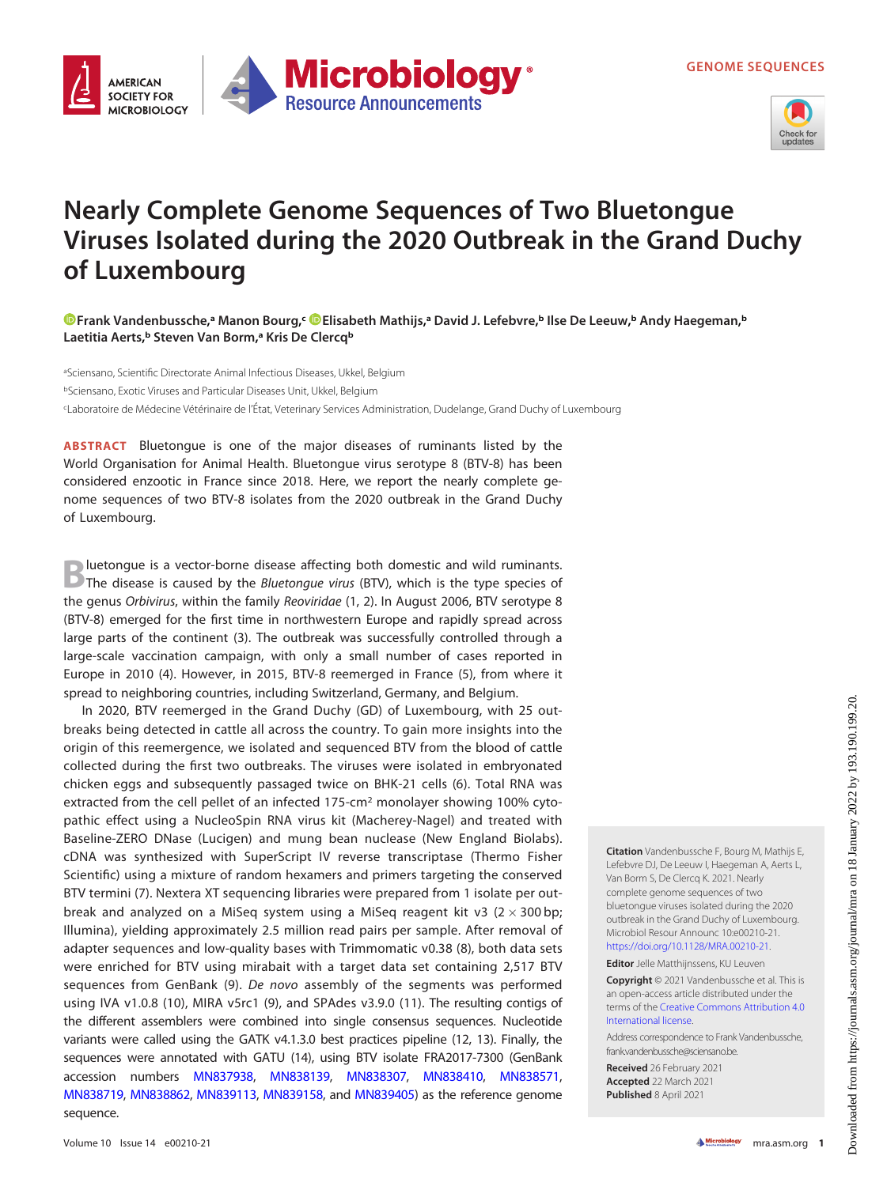

## Nearly Complete Genome Sequences of Two Bluetongue Viruses Isolated during the 2020 Outbreak in the Grand Duchy of Luxembourg

[Frank Vandenbussche,](https://orcid.org/0000-0002-3214-6763)ª Manon Bourg,<sup>c</sup> ©[Elisabeth Mathijs](https://orcid.org/0000-0001-6004-605X),ª David J. Lefebvre,<sup>b</sup> Ilse De Leeuw,<sup>b</sup> Andy Haegeman,<sup>b</sup> Laetitia Aerts,<sup>ь</sup> Steven Van Borm,ª Kris De Clercq<sup>ь</sup>

**Microbiology** 

**Resource Announcements** 

aSciensano, Scientific Directorate Animal Infectious Diseases, Ukkel, Belgium bSciensano, Exotic Viruses and Particular Diseases Unit, Ukkel, Belgium c Laboratoire de Médecine Vétérinaire de l' Etat, Veterinary Services Administration, Dudelange, Grand Duchy of Luxembourg

ABSTRACT Bluetongue is one of the major diseases of ruminants listed by the World Organisation for Animal Health. Bluetongue virus serotype 8 (BTV-8) has been considered enzootic in France since 2018. Here, we report the nearly complete genome sequences of two BTV-8 isolates from the 2020 outbreak in the Grand Duchy of Luxembourg.

**AMFRICAN SOCIETY FOR** 

**MICROBIOLOGY** 

**B**luetongue is a vector-borne disease affecting both domestic and wild ruminants.<br>
The disease is caused by the *Bluetongue virus* (BTV), which is the type species of the genus Orbivirus, within the family Reoviridae ([1](#page-2-0), [2](#page-2-1)). In August 2006, BTV serotype 8 (BTV-8) emerged for the first time in northwestern Europe and rapidly spread across large parts of the continent ([3](#page-2-2)). The outbreak was successfully controlled through a large-scale vaccination campaign, with only a small number of cases reported in Europe in 2010 [\(4\)](#page-2-3). However, in 2015, BTV-8 reemerged in France ([5\)](#page-2-4), from where it spread to neighboring countries, including Switzerland, Germany, and Belgium.

In 2020, BTV reemerged in the Grand Duchy (GD) of Luxembourg, with 25 outbreaks being detected in cattle all across the country. To gain more insights into the origin of this reemergence, we isolated and sequenced BTV from the blood of cattle collected during the first two outbreaks. The viruses were isolated in embryonated chicken eggs and subsequently passaged twice on BHK-21 cells [\(6\)](#page-2-5). Total RNA was extracted from the cell pellet of an infected  $175$ -cm<sup>2</sup> monolayer showing 100% cytopathic effect using a NucleoSpin RNA virus kit (Macherey-Nagel) and treated with Baseline-ZERO DNase (Lucigen) and mung bean nuclease (New England Biolabs). cDNA was synthesized with SuperScript IV reverse transcriptase (Thermo Fisher Scientific) using a mixture of random hexamers and primers targeting the conserved BTV termini [\(7](#page-2-6)). Nextera XT sequencing libraries were prepared from 1 isolate per outbreak and analyzed on a MiSeq system using a MiSeq reagent kit v3  $(2 \times 300$  bp; Illumina), yielding approximately 2.5 million read pairs per sample. After removal of adapter sequences and low-quality bases with Trimmomatic v0.38 ([8](#page-2-7)), both data sets were enriched for BTV using mirabait with a target data set containing 2,517 BTV sequences from GenBank [\(9](#page-2-8)). De novo assembly of the segments was performed using IVA v1.0.8 ([10\)](#page-2-9), MIRA v5rc1 ([9\)](#page-2-8), and SPAdes v3.9.0 [\(11\)](#page-2-10). The resulting contigs of the different assemblers were combined into single consensus sequences. Nucleotide variants were called using the GATK v4.1.3.0 best practices pipeline ([12](#page-2-11), [13](#page-2-12)). Finally, the sequences were annotated with GATU [\(14](#page-2-13)), using BTV isolate FRA2017-7300 (GenBank accession numbers [MN837938](https://www.ncbi.nlm.nih.gov/nuccore/MN837938), [MN838139,](https://www.ncbi.nlm.nih.gov/nuccore/MN838139) [MN838307](https://www.ncbi.nlm.nih.gov/nuccore/MN838307), [MN838410,](https://www.ncbi.nlm.nih.gov/nuccore/MN838410) [MN838571](https://www.ncbi.nlm.nih.gov/nuccore/MN838571), [MN838719](https://www.ncbi.nlm.nih.gov/nuccore/MN838719), [MN838862](https://www.ncbi.nlm.nih.gov/nuccore/MN838862), [MN839113](https://www.ncbi.nlm.nih.gov/nuccore/MN839113), [MN839158](https://www.ncbi.nlm.nih.gov/nuccore/MN839158), and [MN839405\)](https://www.ncbi.nlm.nih.gov/nuccore/MN839405) as the reference genome sequence.

Citation Vandenbussche F, Bourg M, Mathijs E, Lefebvre DJ, De Leeuw I, Haegeman A, Aerts L, Van Borm S, De Clercq K. 2021. Nearly complete genome sequences of two bluetongue viruses isolated during the 2020 outbreak in the Grand Duchy of Luxembourg. Microbiol Resour Announc 10:e00210-21. <https://doi.org/10.1128/MRA.00210-21>.

Editor Jelle Matthijnssens, KU Leuven

Copyright © 2021 Vandenbussche et al. This is an open-access article distributed under the terms of the [Creative Commons Attribution 4.0](https://creativecommons.org/licenses/by/4.0/) [International license](https://creativecommons.org/licenses/by/4.0/).

Address correspondence to Frank Vandenbussche, frank.vandenbussche@sciensano.be.

Received 26 February 2021 Accepted 22 March 2021 Published 8 April 2021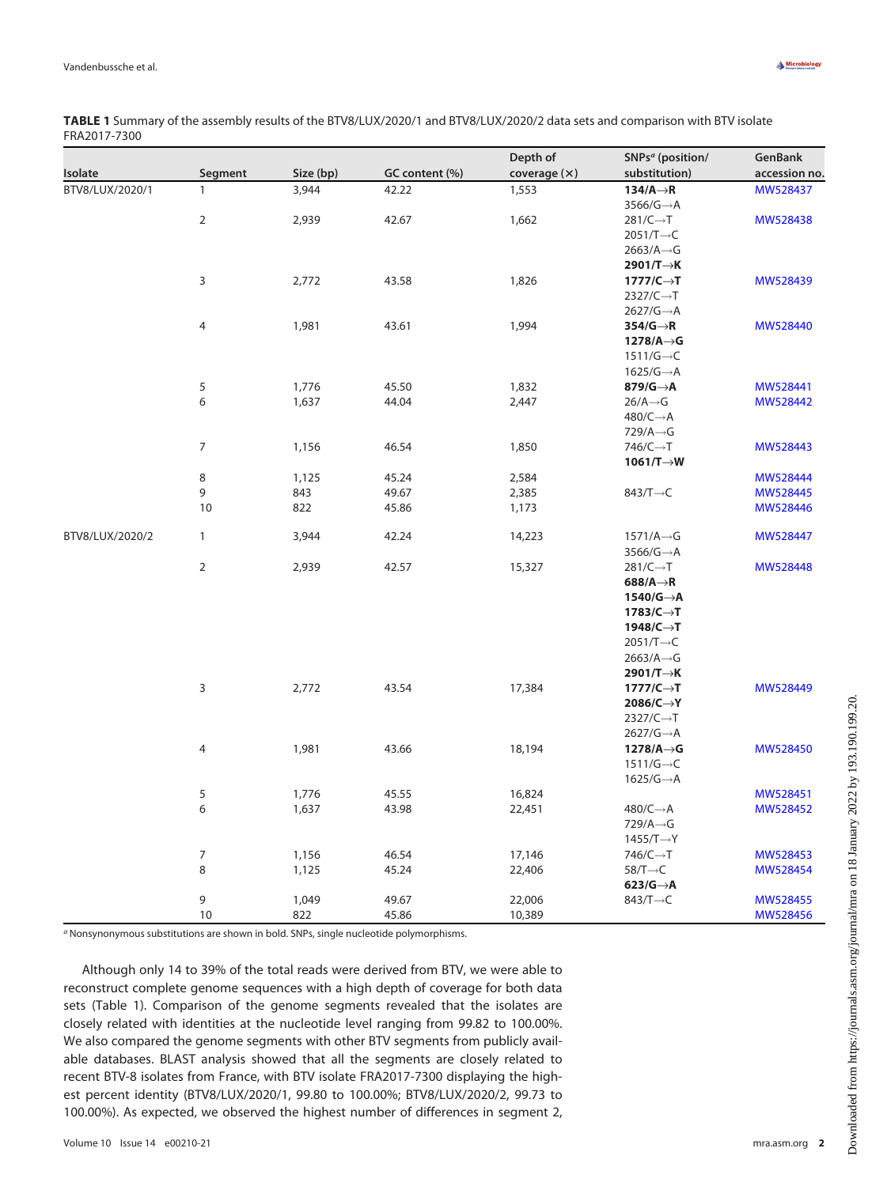| Isolate         | Segment        | Size (bp) | GC content (%) | Depth of<br>coverage $(x)$ | SNPs <sup>a</sup> (position/<br>substitution) | GenBank<br>accession no. |
|-----------------|----------------|-----------|----------------|----------------------------|-----------------------------------------------|--------------------------|
|                 |                |           |                |                            |                                               |                          |
|                 |                |           |                | $3566/G \rightarrow A$     |                                               |                          |
| $\overline{2}$  | 2,939          | 42.67     | 1,662          | $281/C \rightarrow T$      | MW528438                                      |                          |
|                 |                |           |                | $2051/T \rightarrow C$     |                                               |                          |
|                 |                |           |                | $2663/A \rightarrow G$     |                                               |                          |
|                 |                |           |                | 2901/T→K                   |                                               |                          |
| 3               | 2,772          | 43.58     | 1,826          | $1777/C \rightarrow T$     | MW528439                                      |                          |
|                 |                |           |                | $2327/C \rightarrow T$     |                                               |                          |
|                 |                |           |                | $2627/G \rightarrow A$     |                                               |                          |
| 4               | 1,981          | 43.61     | 1,994          | $354/G \rightarrow R$      | MW528440                                      |                          |
|                 |                |           |                | $1278/A \rightarrow G$     |                                               |                          |
|                 |                |           |                | $1511/G \rightarrow C$     |                                               |                          |
|                 |                |           |                | $1625/G \rightarrow A$     |                                               |                          |
| 5               | 1,776          | 45.50     | 1,832          | 879/G $\rightarrow$ A      | MW528441                                      |                          |
| 6               | 1,637          | 44.04     | 2,447          | $26/A \rightarrow G$       | MW528442                                      |                          |
|                 |                |           |                | $480/C \rightarrow A$      |                                               |                          |
|                 |                |           |                | $729/A \rightarrow G$      |                                               |                          |
| $\overline{7}$  | 1,156          | 46.54     | 1,850          | $746/C \rightarrow T$      | MW528443                                      |                          |
|                 |                |           |                | $1061/T \rightarrow W$     |                                               |                          |
| $\,8\,$         | 1,125          | 45.24     | 2,584          |                            | MW528444                                      |                          |
| 9               | 843            | 49.67     | 2,385          | 843/T $\rightarrow$ C      | MW528445                                      |                          |
| 10              | 822            | 45.86     | 1,173          |                            | MW528446                                      |                          |
| BTV8/LUX/2020/2 | $\mathbf{1}$   | 3,944     | 42.24          | 14,223                     | $1571/A \rightarrow G$                        | MW528447                 |
|                 |                |           |                |                            | $3566/G \rightarrow A$                        |                          |
|                 | $\overline{2}$ | 2,939     | 42.57          | 15,327                     | $281/C \rightarrow T$                         | MW528448                 |
|                 |                |           |                |                            | 688/A $\rightarrow$ R                         |                          |
|                 |                |           |                |                            | $1540/G \rightarrow A$                        |                          |
|                 |                |           |                |                            | $1783/C \rightarrow T$                        |                          |
|                 |                |           |                |                            | 1948/C→T                                      |                          |
|                 |                |           |                |                            | $2051/T \rightarrow C$                        |                          |
|                 |                |           |                |                            | $2663/A \rightarrow G$                        |                          |
|                 |                |           |                |                            | 2901/T→K                                      |                          |
|                 | 3              | 2,772     | 43.54          | 17,384                     | $1777/C \rightarrow T$                        | MW528449                 |
|                 |                |           |                |                            | $2086/C \rightarrow Y$                        |                          |
|                 |                |           |                |                            | $2327/C \rightarrow T$                        |                          |
|                 |                |           |                |                            | $2627/G \rightarrow A$                        |                          |
|                 | 4              | 1,981     | 43.66          | 18,194                     | $1278/A \rightarrow G$                        | MW528450                 |
|                 |                |           |                |                            | $1511/G \rightarrow C$                        |                          |
|                 |                |           |                |                            | $1625/G \rightarrow A$                        |                          |
|                 | $\sqrt{5}$     | 1,776     | 45.55          | 16,824                     |                                               | MW528451                 |
|                 | 6              | 1,637     | 43.98          | 22,451                     | $480/C \rightarrow A$                         | MW528452                 |
|                 |                |           |                |                            | $729/A \rightarrow G$                         |                          |
|                 |                |           |                |                            | $1455/T \rightarrow Y$                        |                          |
|                 | $\overline{7}$ | 1,156     | 46.54          | 17,146                     | $746/C \rightarrow T$                         | MW528453                 |
|                 | $\,8\,$        | 1,125     | 45.24          | 22,406                     | $58/T \rightarrow C$                          | MW528454                 |
|                 |                |           |                |                            | $623/G \rightarrow A$                         |                          |
|                 | 9              | 1,049     | 49.67          | 22,006                     | 843/T $\rightarrow$ C                         | MW528455                 |
|                 | 10             | 822       | 45.86          | 10,389                     |                                               | MW528456                 |

<span id="page-1-0"></span>TABLE 1 Summary of the assembly results of the BTV8/LUX/2020/1 and BTV8/LUX/2020/2 data sets and comparison with BTV isolate FRA2017-7300

<sup>a</sup> Nonsynonymous substitutions are shown in bold. SNPs, single nucleotide polymorphisms.

Although only 14 to 39% of the total reads were derived from BTV, we were able to reconstruct complete genome sequences with a high depth of coverage for both data sets [\(Table 1](#page-1-0)). Comparison of the genome segments revealed that the isolates are closely related with identities at the nucleotide level ranging from 99.82 to 100.00%. We also compared the genome segments with other BTV segments from publicly available databases. BLAST analysis showed that all the segments are closely related to recent BTV-8 isolates from France, with BTV isolate FRA2017-7300 displaying the highest percent identity (BTV8/LUX/2020/1, 99.80 to 100.00%; BTV8/LUX/2020/2, 99.73 to 100.00%). As expected, we observed the highest number of differences in segment 2,